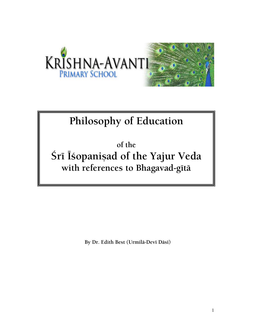

# **Philosophy of Education**

**of the Śrī Īśopaniṣad of the Yajur Veda** with references to Bhagavad-gītā

By Dr. Edith Best (Urmilā-Devī Dāsī)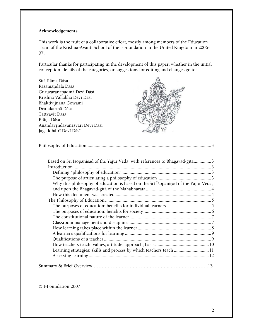### **Acknowledgements**

This work is the fruit of a collaborative effort, mostly among members of the Education Team of the Krishna-Avanti School of the I-Foundation in the United Kingdom in 2006- 07.

Particular thanks for participating in the development of this paper, whether in the initial conception, details of the categories, or suggestions for editing and changes go to:

| Sītā Rāma Dāsa                 |  |
|--------------------------------|--|
| Rāsamandala Dāsa               |  |
| Gurucaranapadmā Devī Dāsī      |  |
| Krishna Vallabha Devī Dāsī     |  |
| Bhaktivijñāna Gowami           |  |
| Drutakarmā Dāsa                |  |
| Tattvavit Dāsa                 |  |
| Prāna Dāsa                     |  |
| Ānandavrndāvaneśvari Devī Dāsī |  |
| Jagaddhātrī Devī Dāsī          |  |

| Based on Srī Īšopanisad of the Yajur Veda, with references to Bhagavad-gītā3       |  |
|------------------------------------------------------------------------------------|--|
|                                                                                    |  |
|                                                                                    |  |
|                                                                                    |  |
| Why this philosophy of education is based on the Srī Isopanisad of the Yajur Veda, |  |
|                                                                                    |  |
|                                                                                    |  |
|                                                                                    |  |
|                                                                                    |  |
|                                                                                    |  |
|                                                                                    |  |
|                                                                                    |  |
|                                                                                    |  |
|                                                                                    |  |
|                                                                                    |  |
|                                                                                    |  |
|                                                                                    |  |
|                                                                                    |  |
|                                                                                    |  |
|                                                                                    |  |
|                                                                                    |  |

© I-Foundation 2007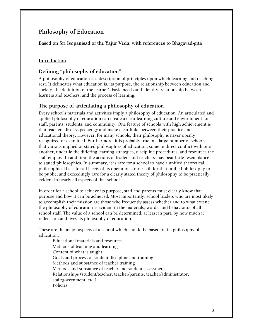# **Philosophy of Education**

Based on Śrī Īśopanisad of the Yajur Veda, with references to Bhagavad-gītā

# **Introduction**

# **Defining "philosophy of education"**

A philosophy of education is a description of principles upon which learning and teaching rest. It delineates what education is, its purpose, the relationship between education and society, the definition of the learner's basic needs and identity, relationship between learners and teachers, and the process of learning.

## **The purpose of articulating a philosophy of education**

Every school's materials and activities imply a philosophy of education. An articulated and applied philosophy of education can create a clear learning culture and environment for staff, parents, students, and community. One feature of schools with high achievement is that teachers discuss pedagogy and make clear links between their practice and educational theory. However, for many schools, their philosophy is never openly recognized or examined. Furthermore, it is probably true in a large number of schools that various implied or stated philosophies of education, some in direct conflict with one another, underlie the differing learning strategies, discipline procedures, and resources the staff employ. In addition, the actions of leaders and teachers may bear little resemblance to stated philosophies. In summary, it is rare for a school to have a unified theoretical philosophical base for all facets of its operations, rarer still for that unified philosophy to be public, and exceedingly rare for a clearly stated theory of philosophy to be practically evident in nearly all aspects of that school.

In order for a school to achieve its purpose, staff and parents must clearly know that purpose and how it can be achieved. Most importantly, school leaders who are most likely to accomplish their mission are those who frequently assess whether and to what extent the philosophy of education is evident in the materials, words, and behaviours of all school staff. The value of a school can be determined, at least in part, by how much it reflects on and lives its philosophy of education.

These are the major aspects of a school which should be based on its philosophy of education:

Educational materials and resources Methods of teaching and learning Content of what is taught Goals and process of student discipline and training Methods and substance of teacher training Methods and substance of teacher and student assessment Relationships (student/teacher, teacher/parents, teacher/administrator, staff/government, etc.) Policies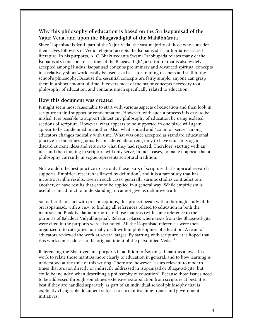# Why this philosophy of education is based on the Sri Isopanisad of the **Yajur Veda, and upon the Bhagavad-gétä of the Mahäbhärata**

Since Īśopaniṣad is śruti, part of the Yajur Veda, the vast majority of those who consider themselves followers of Vedic religion $^{\mathrm{I}}$  accepts the Isopanisad as authoritative sacred literature. In his purports, A. C. Bhaktivedanta Swami Prabhupäda relates many of the Éçopaniñad's concepts to sections of the Bhagavad-gétä, a scripture that is also widely accepted among Hindus. Is opanisad contains preliminary and advanced spiritual concepts in a relatively short work, easily be used as a basis for training teachers and staff in the school's philosophy. Because the essential concepts are fairly simple, anyone can grasp them in a short amount of time. It covers most of the major concepts necessary to a philosophy of education, and contains much specifically related to education.

### **How this document was created**

It might seem most reasonable to start with various aspects of education and then look in scripture to find support or condemnation. However, with such a process it is easy to be misled. It is possible to support almost any philosophy of education by using isolated sections of scripture. However, what appears to be supported in one place will again appear to be condemned in another. Also, what is ideal and "common sense" among educators changes radically with time. What was once accepted as standard educational practice is sometimes gradually considered abhorrent, only to have educators again discard current ideas and return to what they had rejected. Therefore, starting with an idea and then looking in scripture will only serve, in most cases, to make it appear that a philosophy currently in vogue represents scriptural tradition.

Nor would it be best practice to use only those parts of scripture that empirical research supports. Empirical research is flawed by definition<sup>2</sup>, and it is a rare study that has incontrovertible results. Even in such cases, generally various studies contradict one another, or have results that cannot be applied in a general way. While empiricism is useful as an adjunct to understanding, it cannot give us definitive truth.

So, rather than start with preconceptions, this project began with a thorough study of the Sri Isopanisad, with a view to finding all references related to education in both the mantras and Bhaktivedanta purports to those mantras (with some reference to the purports of Baladeva Vidyābhūṣaṇa). Relevant places where texts from the Bhagavad-gītā were cited in the purports were also noted. All the Isopanisad references were then organized into categories normally dealt with in philosophies of education. A team of educators reviewed the work at several stages. By starting with scripture, it is hoped that this work comes closer to the original intent of the personified Vedas.<sup>3</sup>

Referencing the Bhaktivedanta purports in addition to Isopanisad mantras allows this work to relate those mantras more clearly to education in general, and to how learning is understood at the time of this writing. There are, however, issues relevant to modern times that are not directly or indirectly addressed in Isopanisad or Bhagavad-gītā, but could be included when describing a philosophy of education<sup>4</sup>. Because those issues need to be addressed through sometimes extensive extrapolation from scripture at best, it is best if they are handled separately as part of an individual school philosophy that is explicitly changeable document subject to current teaching trends and government initiatives.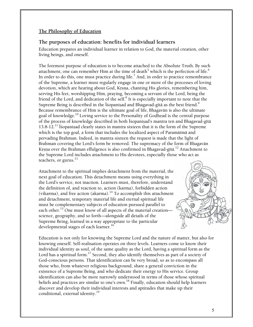### **The Philosophy of Education**

### **The purposes of education: benefits for individual learners**

Education prepares an individual learner in relation to God, the material creation, other living beings, and oneself.

The foremost purpose of education is to become attached to the Absolute Truth. By such attachment, one can remember Him at the time of death $^5$  which is the perfection of life. $^6$ In order to do this, one must practice during life.<sup>7</sup> And, in order to practice remembrance of the Supreme, a learner must regularly engage in one or more of the processes of loving devotion, which are hearing about God, Krsna, chanting His glories, remembering him, serving His feet, worshipping Him, praying, becoming a servant of the Lord, being the friend of the Lord, and dedication of the self.<sup>8</sup> It is especially important to note that the Supreme Being is described in the Isopanisad and Bhagavad-gītā as the best friend.<sup>9</sup> Because remembrance of Him is the ultimate goal of life, Bhagavän is also the ultimate goal of knowledge.10 Loving service to the Personality of Godhead is the central purpose of the process of knowledge described in both Isopanisad's mantra ten and Bhagavad-gītā  $13.8-12$ .<sup>11</sup> Isopanisad clearly states in mantra sixteen that it is the form of the Supreme which is the top goal, a form that includes the localized aspect of Paramätmä and pervading Brahman. Indeed, in mantra sixteen the request is made that the light of Brahman covering the Lord's form be removed. The supremacy of the form of Bhagavän Krsna over the Brahman effulgence is also confirmed in Bhagavad-gītā.<sup>12</sup> Attachment to the Supreme Lord includes attachment to His devotees, especially those who act as teachers, or gurus. $^{13}$ 

Attachment to the spiritual implies detachment from the material, the next goal of education. This detachment means using everything in the Lord's service, not inaction. Learners must, therefore, understand the definition of, and reaction to, action (karma), forbidden action (vikarma), and free action (akarma).<sup>14</sup> To accomplish this attachment and detachment, temporary material life and eternal spiritual life must be complementary subjects of education pursued parallel to each other.<sup>15</sup> One must know of all aspects of the material creation– science, geography, and so forth—alongside all details of the Supreme Being, learned in a way appropriate to the particular developmental stages of each learner.<sup>16</sup>



Education is not only for knowing the Supreme Lord and the nature of matter, but also for knowing oneself. Self-realisation operates on three levels. Learners come to know their individual identity as soul, of the same quality as the Lord, having a spiritual form as the Lord has a spiritual form.<sup>17</sup> Second, they also identify themselves as part of a society of God-conscious persons. That identification can be very broad, so as to encompass all those who, from whatever religious background, share a general conviction in the existence of a Supreme Being, and who dedicate their energy to His service. Group identification can also be more narrowly understood in terms of those whose spiritual beliefs and practices are similar to one's own.<sup>18</sup> Finally, education should help learners discover and develop their individual interests and aptitudes that make up their conditional, external identity.<sup>19</sup>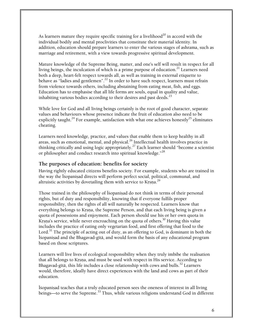As learners mature they require specific training for a livelihood<sup>20</sup> in accord with the individual bodily and mental proclivities that constitute their material identity. In addition, education should prepare learners to enter the various stages of ashrama, such as marriage and retirement, with a view towards progressive spiritual development.

Mature knowledge of the Supreme Being, matter, and one's self will result in respect for all living beings, the inculcation of which is a prime purpose of education. $^{21}$  Learners need both a deep, heart-felt respect towards all, as well as training in external etiquette to behave as "ladies and gentlemen".<sup>22</sup> In order to have such respect, learners must refrain from violence towards others, including abstaining from eating meat, fish, and eggs. Education has to emphasise that all life forms are souls, equal in quality and value, inhabiting various bodies according to their desires and past deeds. $^{23}$ 

While love for God and all living beings certainly is the root of good character, separate values and behaviours whose presence indicate the fruit of education also need to be explicitly taught.<sup>24</sup> For example, satisfaction with what one achieves honestly<sup>25</sup> eliminates cheating.

Learners need knowledge, practice, and values that enable them to keep healthy in all areas, such as emotional, mental, and physical.<sup>26</sup> Intellectual health involves practice in thinking critically and using logic appropriately.<sup>27</sup> Each learner should "become a scientist" or philosopher and conduct research into spiritual knowledge."<sup>28</sup>

### **The purposes of education: benefits for society**

Having rightly educated citizens benefits society. For example, students who are trained in the way the Isopanisad directs will perform perfect social, political, communal, and altruistic activities by dovetailing them with service to Krsna.<sup>29</sup>

Those trained in the philosophy of Isopanisad do not think in terms of their personal rights, but of duty and responsibility, knowing that if everyone fulfils proper responsibility, then the rights of all will naturally be respected. Learners know that everything belongs to Krsna, the Supreme Person, and that each living being is given a quota of possessions and enjoyment. Each person should use his or her own quota in Krsna's service, while never encroaching on the quota of others.<sup>30</sup> Having this value includes the practice of eating only vegetarian food, and first offering that food to the Lord. $^{31}$  The principle of acting out of duty, as an offering to God, is dominant in both the Éçopaniñad and the Bhagavad-gétä, and would form the basis of any educational program based on those scriptures.

Learners will live lives of ecological responsibility when they truly imbibe the realisation that all belongs to Krsna, and must be used with respect in His service. According to Bhagavad-gītā, this life includes a close relationship with cows and bulls.<sup>32</sup> Learners would, therefore, ideally have direct experiences with the land and cows as part of their education.

Isopanisad teaches that a truly educated person sees the oneness of interest in all living beings—to serve the Supreme.<sup>33</sup> Thus, while various religions understand God in different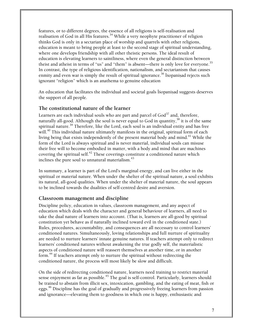features, or to different degrees, the essence of all religions is self-realisation and realisation of God in all His features.<sup>34</sup> While a very neophyte practitioner of religion thinks God is only in a sectarian place of worship and quarrels with other religions, education is meant to bring people at least to the second stage of spiritual understanding, where one develops friendship with all other theistic persons. The ideal result of education is elevating learners to saintliness, where even the general distinction between theist and atheist in terms of "us" and "them" is absent—there is only love for everyone.<sup>35</sup> In contrast, the type of religious identification, nationalism, and sectarianism that causes enmity and even war is simply the result of spiritual ignorance.<sup>36</sup> Isopanisad rejects such ignorant "religion" which is an anathema to genuine education

An education that facilitates the individual and societal goals Isopanisad suggests deserves the support of all people.

### **The constitutional nature of the learner**

Learners are each individual souls who are part and parcel of  $God^{37}$  and, therefore, naturally all-good. Although the soul is never equal to God in quantity,  $38$  it is of the same spiritual nature.39 Therefore, like the Lord, each soul is an individual entity and has free will.<sup>40</sup> This individual nature ultimately manifests in the original, spiritual form of each living being that exists independently of the present material body and mind. $^{41}$  While the form of the Lord is always spiritual and is never material, individual souls can misuse their free will to become embodied in matter, with a body and mind that are machines covering the spiritual self.<sup>42</sup> These coverings constitute a conditioned nature which inclines the pure soul to unnatural materialism. $^{43}$ 

In summary, a learner is part of the Lord's marginal energy, and can live either in the spiritual or material nature. When under the shelter of the spiritual nature, a soul exhibits its natural, all-good qualities. When under the shelter of material nature, the soul appears to be inclined towards the dualities of self-centred desire and aversion.

### **Classroom management and discipline**

Discipline policy, education in values, classroom management, and any aspect of education which deals with the character and general behaviour of learners, all need to take the dual nature of learners into account. (That is, learners are all-good by spiritual constitution yet behave as if naturally inclined toward evil in the conditioned state.) Rules, procedures, accountability, and consequences are all necessary to control learners' conditioned natures. Simultaneously, loving relationships and full nurture of spirituality are needed to nurture learners' innate genuine natures. If teachers attempt only to redirect learners' conditioned natures without awakening the true godly self, the materialistic aspects of conditioned nature will reassert themselves at another time, or in another form.<sup>44</sup> If teachers attempt only to nurture the spiritual without redirecting the conditioned nature, the process will most likely be slow and difficult.

On the side of redirecting conditioned nature, learners need training to restrict material sense enjoyment as far as possible. $^{45}$  The goal is self-control. Particularly, learners should be trained to abstain from illicit sex, intoxication, gambling, and the eating of meat, fish or eggs.<sup>46</sup> Discipline has the goal of gradually and progressively freeing learners from passion and ignorance—elevating them to goodness in which one is happy, enthusiastic and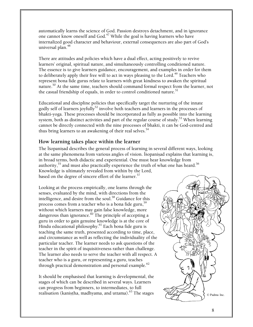automatically learns the science of God. Passion destroys detachment, and in ignorance one cannot know oneself and God.<sup>47</sup> While the goal is having learners who have internalized good character and behaviour, external consequences are also part of God's universal plan.<sup>48</sup>

There are attitudes and policies which have a dual effect, acting positively to revive learners' original, spiritual nature, and simultaneously controlling conditioned nature. The essence is to give learners guidance, encouragement, and examples in order for them to deliberately apply their free will to act in ways pleasing to the Lord.<sup>49</sup> Teachers who represent bona fide gurus relate to learners with great kindness to awaken the spiritual nature.<sup>50</sup> At the same time, teachers should command formal respect from the learner, not the casual friendship of equals, in order to control conditioned nature.<sup>51</sup>

Educational and discipline policies that specifically target the nurturing of the innate godly self of learners joyfully<sup>52</sup> involve both teachers and learners in the processes of bhakti-yoga. These processes should be incorporated as fully as possible into the learning system, both as distinct activities and part of the regular course of study.<sup>53</sup> When learning cannot be directly connected with the nine processes of bhakti, it can be God-centred and thus bring learners to an awakening of their real selves.<sup>54</sup>

### **How learning takes place within the learner**

The Isopanisad describes the general process of learning in several different ways, looking at the same phenomena from various angles of vision. Is opanisad explains that learning is, in broad terms, both didactic and experiential. One must hear knowledge from authority,<sup>55</sup> and must also practically experience the truth of what one has heard.<sup>56</sup> Knowledge is ultimately revealed from within by the Lord, based on the degree of sincere effort of the learner.<sup>57</sup>

Looking at the process empirically, one learns through the senses, evaluated by the mind, with directions from the intelligence, and desire from the soul.<sup>58</sup> Guidance for this process comes from a teacher who is a bona fide guru,  $59$ without which learners may gain false knowledge, more dangerous than ignorance.<sup>60</sup> The principle of accepting a guru in order to gain genuine knowledge is at the core of Hindu educational philosophy. $61$  Each bona fide guru is teaching the same truth, presented according to time, place, and circumstance as well as reflecting the individuality of the particular teacher. The learner needs to ask questions of the teacher in the spirit of inquisitiveness rather than challenge. The learner also needs to serve the teacher with all respect. A teacher who is a guru, or representing a guru, teaches through practical demonstration and personal example.<sup>62</sup>

It should be emphasised that learning is developmental, the stages of which can be described in several ways. Learners can progress from beginners, to intermediates, to full realisation (kaniṣṭha, madhyama, and uttama).<sup>63</sup> The stages  $\bigotimes$   $\bigotimes$  o Padma Inc.

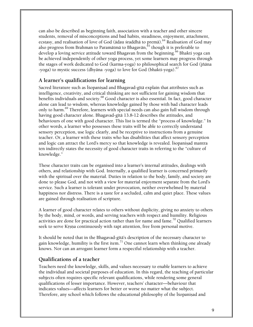can also be described as beginning faith, association with a teacher and other sincere students, removal of misconceptions and bad habits, steadiness, enjoyment, attachment, ecstasy, and realisation of love of God (ādau śraddhā to premā).<sup>64</sup> Realisation of God may also progress from Brahman to Paramātmā to Bhagavān, $65$  though it is preferable to develop a loving service attitude toward Bhagavan from the beginning.<sup>66</sup> Bhakti yoga can be achieved independently of other yoga process, yet some learners may progress through the stages of work dedicated to God (karma-yoga) to philosophical search for God (jïäna -yoga) to mystic success (dhyāna -yoga) to love for God (bhakti-yoga).<sup>67</sup>

# **A learner's qualifications for learning**

Sacred literature such as Ísopaniṣad and Bhagavad-gītā explain that attributes such as intelligence, creativity, and critical thinking are not sufficient for gaining wisdom that benefits individuals and society.<sup>68</sup> Good character is also essential. In fact, good character alone can lead to wisdom, whereas knowledge gained by those with bad character leads only to harm.<sup>69</sup> Therefore, learners with special needs can also gain full wisdom through having good character alone. Bhagavad-gītā 13.8-12 describes the attitudes, and behaviours of one with good character. This list is termed the "process of knowledge." In other words, a learner who possesses these traits will be able to correctly understand sensory perception, use logic clearly, and be receptive to instructions from a genuine teacher. Or, a learner with these traits who has disabilities that affect sensory perception and logic can attract the Lord's mercy so that knowledge is revealed. Is opanisad mantra ten indirectly states the necessity of good character traits in referring to the "culture of knowledge."

These character traits can be organised into a learner's internal attitudes, dealings with others, and relationship with God. Internally, a qualified learner is concerned primarily with the spiritual over the material. Duties in relation to the body, family, and society are done to please God, and not with a view for material enjoyment separate from the Lord's service. Such a learner is tolerant under provocation, neither overwhelmed by material happiness nor distress. There is a taste for a secluded, calm and quiet place. These values are gained through realisation of scripture.

A learner of good character relates to others without duplicity, giving no anxiety to others by the body, mind, or words, and serving teachers with respect and humility. Religious activities are done for practical action rather than for name and fame.<sup>70</sup> Qualified learners seek to serve Krsna continuously with rapt attention, free from personal motive.

It should be noted that in the Bhagavad-gītā's description of the necessary character to gain knowledge, humility is the first item.<sup>71</sup> One cannot learn when thinking one already knows. Nor can an arrogant learner form a respectful relationship with a teacher.

### **Qualifications of a teacher**

Teachers need the knowledge, skills, and values necessary to enable learners to achieve the individual and societal purposes of education. In this regard, the teaching of particular subjects often requires specific relevant qualifications, while rendering some general qualifications of lesser importance. However, teachers' character—behaviour that indicates values—affects learners for better or worse no matter what the subject. Therefore, any school which follows the educational philosophy of the Isopanisad and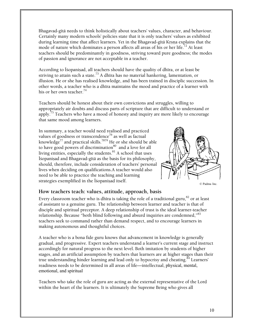Bhagavad-gétä needs to think holistically about teachers' values, character, and behaviour. Certainly many modern schools' policies state that it is only teachers' values as exhibited during learning time that affect learners. Yet in the Bhagavad-gītā Krsna explains that the mode of nature which dominates a person affects all areas of his or her life.<sup>72</sup> At least teachers should be predominantly in goodness, striving toward pure goodness; the modes of passion and ignorance are not acceptable in a teacher.

According to Īśopaniṣad, all teachers should have the quality of dhīra, or at least be striving to attain such a state.<sup>73</sup> A dhīra has no material hankering, lamentation, or illusion. He or she has realised knowledge, and has been trained in disciplic succession. In other words, a teacher who is a dhīra maintains the mood and practice of a learner with his or her own teacher.<sup>74</sup>

Teachers should be honest about their own convictions and struggles, willing to appropriately air doubts and discuss parts of scripture that are difficult to understand or apply.<sup>75</sup> Teachers who have a mood of honesty and inquiry are more likely to encourage that same mood among learners.

In summary, a teacher would need realised and practiced values of goodness or transcendence $^{76}$  as well as factual knowledge $^{77}$  and practical skills. $^{7879}$  He or she should be able to have good powers of discrimination $^{80}$  and a love for all living entities, especially the students. $81$  A school that uses Īśopaniṣad and Bhagavad-gītā as the basis for its philosophy, should, therefore, include consideration of teachers' personal lives when deciding on qualifications.A teacher would also need to be able to practice the teaching and learning strategies exemplified in the Isopanisad itself.



#### © Padma Inc.

### **How teachers teach: values, attitude, approach, basis**

Every classroom teacher who is dhīra is taking the role of a traditional guru, $^{82}$  or at least of assistant to a genuine guru. The relationship between learner and teacher is that of disciple and spiritual preceptor. A deep relationship of trust is the ideal learner-teacher relationship. Because "both blind following and absurd inquiries are condemned,"<sup>83</sup> teachers seek to command rather than demand respect, and to encourage learners in making autonomous and thoughtful choices.

A teacher who is a bona fide guru knows that advancement in knowledge is generally gradual, and progressive. Expert teachers understand a learner's current stage and instruct accordingly for natural progress to the next level. Both imitation by students of higher stages, and an artificial assumption by teachers that learners are at higher stages than their true understanding hinder learning and lead only to hypocrisy and cheating.<sup>84</sup> Learners' readiness needs to be determined in all areas of life—intellectual, physical, mental, emotional, and spiritual

Teachers who take the role of guru are acting as the external representative of the Lord within the heart of the learners. It is ultimately the Supreme Being who gives all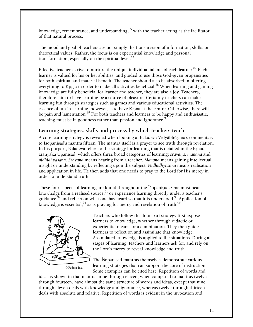knowledge, remembrance, and understanding, $85$  with the teacher acting as the facilitator of that natural process.

The mood and goal of teachers are not simply the transmission of information, skills, or theoretical values. Rather, the focus is on experiential knowledge and personal transformation, especially on the spiritual level.<sup>86</sup>

Effective teachers strive to nurture the unique individual talents of each learner. $87$  Each learner is valued for his or her abilities, and guided to use those God-given propensities for both spiritual and material benefit. The teacher should also be absorbed in offering everything to Krsna in order to make all activities beneficial.<sup>88</sup> When learning and gaining knowledge are fully beneficial for learner and teacher, they are also a joy. Teachers, therefore, aim to have learning be a source of pleasure. Certainly teachers can make learning fun through strategies such as games and various educational activities. The essence of fun in learning, however, is to have Krsna at the centre. Otherwise, there will be pain and lamentation.<sup>89</sup> For both teachers and learners to be happy and enthusiastic, teaching must be in goodness rather than passion and ignorance.<sup>90</sup>

## **Learning strategies: skills and process by which teachers teach**

A core learning strategy is revealed when looking at Baladeva Vidyābhūṣana's commentary to Isopanisad's mantra fifteen. The mantra itself is a prayer to see truth through revelation. In his purport, Baladeva refers to the strategy for learning that is detailed in the Brhadäraëyaka Upaniñad, which offers three broad categories of learning: *çravaëa*, *manana* and *nidhidhyasana*. *Çravaëa* means hearing from a teacher. *Manana* means gaining intellectual insight or understanding by reflecting upon the subject. *Nidhidhyasana* means realisation and application in life. He then adds that one needs to pray to the Lord for His mercy in order to understand truth.

These four aspects of learning are found throughout the Isopanisad. One must hear knowledge from a realised source,<sup>91</sup> or experience learning directly under a teacher's guidance, $92$  and reflect on what one has heard so that it is understood. $93$  Application of knowledge is essential,  $94$  as is praying for mercy and revelation of truth.<sup>95</sup>



Teachers who follow this four-part strategy first expose learners to knowledge, whether through didactic or experiential means, or a combination. They then guide learners to reflect on and assimilate that knowledge. Assimilated knowledge is applied to life situations. During all stages of learning, teachers and learners ask for, and rely on, the Lord's mercy to reveal knowledge and truth.

The Isopanisad mantras themselves demonstrate various learning strategies that can support the core of instruction. Some examples can be cited here. Repetition of words and

ideas is shown in that mantras nine through eleven, when compared to mantras twelve through fourteen, have almost the same structure of words and ideas, except that nine through eleven deals with knowledge and ignorance, whereas twelve through thirteen deals with absolute and relative. Repetition of words is evident in the invocation and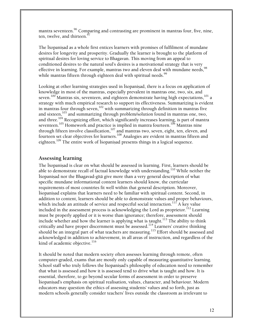mantra seventeen.<sup>96</sup> Comparing and contrasting are prominent in mantras four, five, nine, ten, twelve, and thirteen.<sup>97</sup>

The Isopanisad as a whole first entices learners with promises of fulfilment of mundane desires for longevity and prosperity. Gradually the learner is brought to the platform of spiritual desires for loving service to Bhagavan. This moving from an appeal to conditioned desires to the natural soul's desires is a motivational strategy that is very effective in learning. For example, mantras two and eleven deal with mundane needs,<sup>98</sup> while mantras fifteen through eighteen deal with spiritual needs.  $^{99}$ 

Looking at other learning strategies used in Isopanisad, there is a focus on application of knowledge in most of the mantras, especially prevalent in mantras one, two, six, and seven. $^{100}$  Mantras six, seventeen, and eighteen demonstrate having high expectations, $^{101}$  a strategy with much empirical research to support its effectiveness. Summarizing is evident in mantras four through seven, $102$  with summarizing through definition in mantras five and sixteen,<sup>103</sup> and summarizing through problem/solution found in mantras one, two, and three.<sup>104</sup> Recognizing effort, which significantly increases learning, is part of mantra seventeen.<sup>105</sup> Homework and practice is implied in mantra fourteen.<sup>106</sup> Mantras nine through fifteen involve classification,  $107$  and mantras two, seven, eight, ten, eleven, and fourteen set clear objectives for learners.108 Analogies are evident in mantras fifteen and eighteen.<sup>109</sup> The entire work of Isopanisad presents things in a logical sequence.

### **Assessing learning**

The Isopanisad is clear on what should be assessed in learning. First, learners should be able to demonstrate recall of factual knowledge with understanding.<sup>110</sup> While neither the Éçopaniñad nor the Bhagavad-gétä give more than a very general description of what specific mundane informational content learners should know, the curricular requirements of most countries fit well within that general description. Moreover, Éçopaniñad explains that learners need to be familiar with spiritual content. Second, in addition to content, learners should be able to demonstrate values and proper behaviours, which include an attitude of service and respectful social interaction.  $^{117}$  A key value included in the assessment process is acknowledging the Lord as proprietor.<sup>112</sup> Learning must be properly applied or it is worse than ignorance; therefore, assessment should include whether and how the learner is applying what is taught. $^{113}$  The ability to think critically and have proper discernment must be assessed.<sup>114</sup> Learners' creative thinking should be an integral part of what teachers are measuring.<sup>115</sup> Effort should be assessed and acknowledged in addition to achievement, in all areas of instruction, and regardless of the kind of academic objective.<sup>116</sup>

It should be noted that modern society often assesses learning through remote, often computer-graded, exams that are mostly only capable of measuring quantitative learning. School staff who truly follows the Isopanisad's philosophy of education need to remember that what is assessed and how it is assessed tend to drive what is taught and how. It is essential, therefore, to go beyond secular forms of assessment in order to preserve Iśopaniṣad's emphasis on spiritual realisation, values, character, and behaviour. Modern educators may question the ethics of assessing students' values and so forth, just as modern schools generally consider teachers' lives outside the classroom as irrelevant to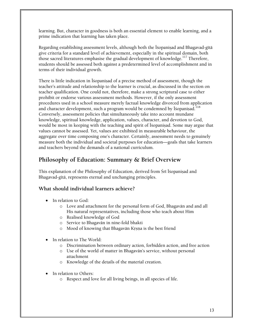learning. But, character in goodness is both an essential element to enable learning, and a prime indication that learning has taken place.

Regarding establishing assessment levels, although both the Isopanisad and Bhagavad-gītā give criteria for a standard level of achievement, especially in the spiritual domain, both those sacred literatures emphasise the gradual development of knowledge.<sup>117</sup> Therefore, students should be assessed both against a predetermined level of accomplishment and in terms of their individual growth.

There is little indication in Isopanisad of a precise method of assessment, though the teacher's attitude and relationship to the learner is crucial, as discussed in the section on teacher qualification. One could not, therefore, make a strong scriptural case to either prohibit or endorse various assessment methods. However, if the only assessment procedures used in a school measure merely factual knowledge divorced from application and character development, such a program would be condemned by Isopanisad.<sup>118</sup> Conversely, assessment policies that simultaneously take into account mundane knowledge, spiritual knowledge, application, values, character, and devotion to God, would be most in keeping with the teaching and spirit of Isopanisad. Some may argue that values cannot be assessed. Yet, values are exhibited in measurable behaviour, the aggregate over time composing one's character. Certainly, assessment needs to genuinely measure both the individual and societal purposes for education—goals that take learners and teachers beyond the demands of a national curriculum.

# **Philosophy of Education: Summary & Brief Overview**

This explanation of the Philosophy of Education, derived from Śrī Īśopanisad and Bhagavad-gītā, represents eternal and unchanging principles.

# **What should individual learners achieve?**

- In relation to God:
	- o Love and attachment for the personal form of God, Bhagavän and and all His natural representatives, including those who teach about Him
	- o Realised knowledge of God
	- o Service to Bhagavän in nine-fold bhakti
	- o Mood of knowing that Bhagavān Krsna is the best friend
- In relation to The World:
	- o Discrimination between ordinary action, forbidden action, and free action
	- o Use of the world of matter in Bhagavän's service, without personal attachment
	- o Knowledge of the details of the material creation.
- In relation to Others:
	- o Respect and love for all living beings, in all species of life.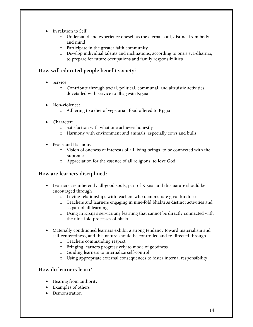- In relation to Self:
	- o Understand and experience oneself as the eternal soul, distinct from body and mind
	- o Participate in the greater faith community
	- o Develop individual talents and inclinations, according to one's sva-dharma, to prepare for future occupations and family responsibilities

## **How will educated people benefit society?**

- Service:
	- o Contribute through social, political, communal, and altruistic activities dovetailed with service to Bhagavān Krsna
- Non-violence:
	- o Adhering to a diet of vegetarian food offered to Krsna
- Character:
	- o Satisfaction with what one achieves honestly
	- o Harmony with environment and animals, especially cows and bulls
- Peace and Harmony:
	- o Vision of oneness of interests of all living beings, to be connected with the Supreme
	- o Appreciation for the essence of all religions, to love God

# **How are learners disciplined?**

- Learners are inherently all-good souls, part of Krsna, and this nature should be encouraged through
	- o Loving relationships with teachers who demonstrate great kindness
	- o Teachers and learners engaging in nine-fold bhakti as distinct activities and as part of all learning
	- o Using in Krsna's service any learning that cannot be directly connected with the nine-fold processes of bhakti
- Materially conditioned learners exhibit a strong tendency toward materialism and self-centeredness, and this nature should be controlled and re-directed through
	- o Teachers commanding respect
	- o Bringing learners progressively to mode of goodness
	- o Guiding learners to internalize self-control
	- o Using appropriate external consequences to foster internal responsibility

### **How do learners learn?**

- Hearing from authority
- Examples of others
- **Demonstration**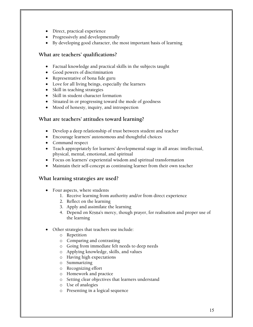- Direct, practical experience
- Progressively and developmentally
- By developing good character, the most important basis of learning

### **What are teachers' qualifications?**

- Factual knowledge and practical skills in the subjects taught
- Good powers of discrimination
- Representative of bona fide guru
- Love for all living beings, especially the learners
- Skill in teaching strategies
- Skill in student character formation
- Situated in or progressing toward the mode of goodness
- Mood of honesty, inquiry, and introspection

## **What are teachers' attitudes toward learning?**

- Develop a deep relationship of trust between student and teacher
- Encourage learners' autonomous and thoughtful choices
- Command respect
- Teach appropriately for learners' developmental stage in all areas: intellectual, physical, mental, emotional, and spiritual
- Focus on learners' experiential wisdom and spiritual transformation
- Maintain their self-concept as continuing learner from their own teacher

### **What learning strategies are used?**

- Four aspects, where students
	- 1. Receive learning from authority and/or from direct experience
	- 2. Reflect on the learning
	- 3. Apply and assimilate the learning
	- 4. Depend on Krsna's mercy, though prayer, for realisation and proper use of the learning
- Other strategies that teachers use include:
	- o Repetition
	- o Comparing and contrasting
	- o Going from immediate felt needs to deep needs
	- o Applying knowledge, skills, and values
	- o Having high expectations
	- o Summarizing
	- o Recognizing effort
	- o Homework and practice
	- o Setting clear objectives that learners understand
	- o Use of analogies
	- o Presenting in a logical sequence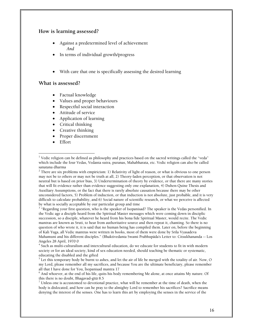### **How is learning assessed?**

- Against a predetermined level of achievement *And*
- In terms of individual growth/progress
- With care that one is specifically assessing the desired learning

### **What is assessed?**

- Factual knowledge
- Values and proper behaviours
- Respectful social interaction
- Attitude of service
- Application of learning
- Critical thinking
- Creative thinking
- Proper discernment
- Effort

 $^3$  "Regarding your first question, who is the speaker of Isopanisad? The speaker is the Vedas personified. In the Vedic age a disciple heard from the Spiritual Master messages which were coming down in disciplic succession, so a disciple, whatever he heard from his bona fide Spiritual Master, would recite. The Vedic mantras are known as Sruti, to hear from authoritative source and then repeat it, chanting. So there is no question of who wrote it, it is said that no human being has compiled them. Later on, before the beginning of Kali Yuga, all Vedic mantras were written in books, most of them were done by Srila Vyasadeva Mahamuni and his different disciples." (Bhaktivedanta Swami Prabhupäda's Letter to: Citsukhananda -- Los Angeles 28 April, 1970 0

4 Such as multi-culturalism and intercultural education, do we educate for students to fit in with modern society or for an ideal society, kind of sex education needed, should teaching be thematic or systematic, educating the disabled and the gifted

 $^5$  Let this temporary body be burnt to ashes, and let the air of life be merged with the totality of air. Now, O my Lord, please remember all my sacrifices, and because You are the ultimate beneficiary, please remember all that I have done for You, Isopanisad mantra 17

 $^6$  And whoever, at the end of his life, quits his body remembering Me alone, at once attains My nature. Of this there is no doubt, Bhagavad-gītā 8.5

 $^7$  Unless one is accustomed to devotional practice, what will he remember at the time of death, when the body is dislocated, and how can he pray to the almighty Lord to remember his sacrifices? Sacrifice means denying the interest of the senses. One has to learn this art by employing the senses in the service of the

 $\overline{a}$  $^1$  Vedic religion can be defined as philosophy and practices based on the sacred writings called the "veda" which include the four Vedas, Vedanta sutra, puranas, Mahabharata, etc. Vedic religion can also be called sanatana dharma

 $2$  There are six problems with empiricism: 1) Relativity of light of reason, or what is obvious to one person may not be to others or may not be truth at all, 2) Theory-laden perception, or that observation is not neutral but is based on prior bias, 3) Undertermination of theory by evidence, or that there are many stories that will fit evidence rather than evidence suggesting only one explanation, 4) Duhen-Quine Thesis and Auxiliary Assumptions, or the fact that there is rarely absolute causation because there may be other unconsidered factors, 5) Problem of induction, or that induction is not absolute, just probable, and it is very difficult to calculate probability, and 6) Social nature of scientific research, or what we perceive is affected by what is socially acceptable by our particular group and time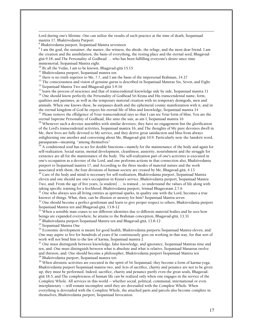Lord during one's lifetime. One can utilize the results of such practice at the time of death, Isopanisad mantra 17, Bhaktivedanta Purport

 $^8$  Bhaktivedanta purport, Īśopaniṣad Mantra seventeen

 $\overline{a}$ 

 $^9$  I am the goal, the sustainer, the master, the witness, the abode, the refuge, and the most dear friend. I am the creation and the annihilation, the basis of everything, the resting place and the eternal seed, Bhagavadgītā 9.18, and The Personality of Godhead ... who has been fulfilling everyone's desire since time immemorial, Isopanisad Mantra eight.

 $10$  By all the Vedas, I am to be known, Bhagavad-gītā 15.15

 $^{11}$  Bhaktivedanta purport, Isopanisad mantra ten

 $12$  there is no truth superior to Me, 7.7, and I am the basis of the impersonal Brahman, 14.27

<sup>13</sup> The consciousness and vision of genuine gurus is described in Ísopanisad Mantras Six, Seven, and Eight. <sup>14</sup> Ísopanisad Mantra Two and Bhagavad-gítā 3.9-16

 $^{15}$  learn the process of nescience and that of transcendental knowledge side by side, Isopanisad mantra 11

<sup>16</sup> One should know perfectly the Personality of Godhead Sri Krsna and His transcendental name, form, qualities and pastimes, as well as the temporary material creation with its temporary demigods, men and animals. When one knows these, he surpasses death and the ephemeral cosmic manifestation with it, and in the eternal kingdom of God he enjoys his eternal life of bliss and knowledge, Isopanisad mantra 14 <sup>17</sup> Please remove the effulgence of Your transcendental rays so that I can see Your form of bliss. You are the

eternal Supreme Personality of Godhead, like unto the sun, as am I, Īśopaniṣad mantra 16<br><sup>18</sup> Whenever such a devotee assembles with similar devotees, they have no engagement but the glorification

of the Lord's transcendental activities, Isopanisad mantra 16, and The thoughts of My pure devotees dwell in Me, their lives are fully devoted to My service, and they derive great satisfaction and bliss from always enlightening one another and conversing about Me, Bhagavad-gétä 10.9. Particularly note the Sanskrit word, parasparam—meaning "among themselves"

<sup>19</sup> A conditioned soul has to act for double functions—namely for the maintenance of the body and again for self-realization. Social status, mental development, cleanliness, austerity, nourishment and the struggle for existence are all for the maintenance of the body. The self-realization part of one's activities is executed in one's occupation as a devotee of the Lord, and one performs actions in that connection also, Bhaktivedanta purport to Isopaniṣad mantra 17, and According to the three modes of material nature and the work associated with them, the four divisions of human society are created by Me, Bhagavad-gītā, 4.13

 $^{20}$  Care of the body and mind is necessary for self-realization, Bhaktivedanta purport, Īśopaniṣad Mantra eleven and one should use one's occupation in Krsna's service, Bhaktivedanta purport, Isopanisad Mantra Two, and: From the age of five years, [a student] … is trained ...to understand the values of life along with taking specific training for a livelihood, Bhaktivedanta purport, Srimad Bhagavatam 2.7.6

 $21$  One who always sees all living entities as spiritual sparks, in quality one with the Lord, becomes a true knower of things. What, then, can be illusion or anxiety for him? Isopanisad Mantra seven

 $^{22}$  One should become a perfect gentleman and learn to give proper respect to others, Bhaktivedanta purport Ísopanisad Mantra ten and Bhagavad-gītā, 13.8-12

 $^{23}$  When a sensible man ceases to see different identities due to different material bodies and he sees how beings are expanded everywhere, he attains to the Brahman conception, Bhagavad-gītā, 13.31

 $^{24}$  Bhaktivedanta purport Isopanisad Mantra ten and Bhagavad-gītā, 13.8-12

<sup>25</sup> Isopanisad Mantra One

 $^{26}$  Economic development is meant for good health, Bhaktivedanta purports Isopanisad Mantra eleven, and: One may aspire to live for hundreds of years if he continuously goes on working in that way, for that sort of work will not bind him to the law of karma, Isopanisad mantra 2

 $^{27}$  One must distinguish between knowledge, false knowledge, and ignorance, Isopanisad Mantras nine and ten, and: One must distinguish between what is absolute and what is relative, Isopanisad Manatras twelve and thirteen, and: One should become a philosopher, Bhaktivedanta purport Ísopaniṣad Mantra ten <sup>28</sup> Bhaktivedanta purport, Ísopaniṣad mantra ten

 $^{29}$  When altruistic activities are executed in the spirit of Sri Isopanisad, they become a form of karma-yoga, Bhaktivedanta purport Īśopanisad mantra two, and Acts of sacrifice, charity and penance are not to be given up; they must be performed. Indeed, sacrifice, charity and penance purify even the great souls, Bhagavadgita 18.5, and The completeness of human life can be realized only when one engages in the service of the Complete Whole. All services in this world -- whether social, political, communal, international or even interplanetary -- will remain incomplete until they are dovetailed with the Complete Whole. When everything is dovetailed with the Complete Whole, the attached parts and parcels also become complete in themselves, Bhaktivedanta purport, Isopanișad Invocation.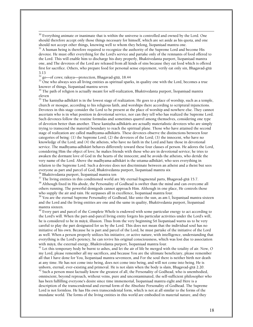$^{30}$  Everything animate or inanimate that is within the universe is controlled and owned by the Lord. One should therefore accept only those things necessary for himself, which are set aside as his quota, and one should not accept other things, knowing well to whom they belong, Isopanisad mantra one.<br><sup>31</sup> A human being is therefore required to recognize the authority of the Supreme Lord and become His

devotee. He must offer everything for the Lord's service and partake only of the remnants of food offered to the Lord. This will enable him to discharge his duty properly, Bhaktivedanta purport, Ísopanisad mantra one, and The devotees of the Lord are released from all kinds of sins because they eat food which is offered first for sacrifice. Others, who prepare food for personal sense enjoyment, verily eat only sin, Bhagavad-gītā 3.13

go-of cows; rakṣya-protection, Bhagavad-gītā, 18.44

 $\overline{a}$ 

<sup>33</sup> One who always sees all living entities as spiritual sparks, in quality one with the Lord, becomes a true knower of things, Isopanisad mantra seven

 $^{34}$  The path of religion is actually meant for self-realization, Bhaktivedanta purport, Īśopaniṣad mantra eleven

 $35$  The kaniṣṭha-adhikārī is in the lowest stage of realization. He goes to a place of worship, such as a temple, church or mosque, according to his religious faith, and worships there according to scriptural injunctions. Devotees in this stage consider the Lord to be present at the place of worship and nowhere else. They cannot ascertain who is in what position in devotional service, nor can they tell who has realized the Supreme Lord. Such devotees follow the routine formulas and sometimes quarrel among themselves, considering one type of devotion better than another. These kanistha-adhikārīs are actually materialistic devotees who are simply trying to transcend the material boundary to reach the spiritual plane. Those who have attained the second stage of realization are called madhyama-adhikārīs. These devotees observe the distinctions between four categories of being: (1) the Supreme Lord; (2) the devotees of the Lord; (3) the innocent, who have no knowledge of the Lord; and (4) the atheists, who have no faith in the Lord and hate those in devotional service. The madhyama-adhikārī behaves differently toward these four classes of person. He adores the Lord, considering Him the object of love; he makes friends with those who are in devotional service; he tries to awaken the dormant love of God in the hearts of the innocent; and he avoids the atheists, who deride the very name of the Lord. Above the madhyama-adhikārī is the uttama-adhikārī, who sees everything in relation to the Supreme Lord. Such a devotee does not discriminate between an atheist and a theist but sees everyone as part and parcel of God, Bhaktivedanta purport, Isopanisad mantra six

 $^{36}$  Bhaktivedanta purport, Īśopanisad mantra ten

 $37$  The living entities in this conditioned world are My eternal fragmental parts, Bhagavad-gītā 15.7.

 $^{38}$  Although fixed in His abode, the Personality of Godhead is swifter than the mind and can overcome all others running. The powerful demigods cannot approach Him. Although in one place, He controls those who supply the air and rain. He surpasses all in excellence, Isopaniṣad mantra four.

<sup>39</sup> You are the eternal Supreme Personality of Godhead, like unto the sun, as am I, Isopanisad mantra sixteen and the Lord and the living entities are one and the same in quality, Bhaktivedanta purport, Isopanisad mantra sixteen.

 $^{40}$  Every part and parcel of the Complete Whole is endowed with some particular energy to act according to the Lord's will. When the part-and-parcel living entity forgets his particular activities under the Lord's will, he is considered to be in mäyä, illusion. Thus from the very beginning Śrī Īśopanisad warns us to be very careful to play the part designated for us by the Lord. This does not mean that the individual soul has no initiative of his own. Because he is part and parcel of the Lord, he must partake of the initiative of the Lord as well. When a person properly utilizes his initiative, or active nature, with intelligence, understanding that everything is the Lord's potency, he can revive his original consciousness, which was lost due to association with māyā, the external energy, Bhaktivedanta purport, Īsopanisad mantra four.

 $^{41}$  Let this temporary body be burnt to ashes, and let the air of life be merged with the totality of air. Now, O my Lord, please remember all my sacrifices, and because You are the ultimate beneficiary, please remember all that I have done for You, Isopanisad mantra seventeen, and For the soul there is neither birth nor death at any time. He has not come into being, does not come into being, and will not come into being. He is unborn, eternal, ever-existing and primeval. He is not slain when the body is slain, Bhagavad-gétä 2.20.  $42$  Such a person must factually know the greatest of all, the Personality of Godhead, who is unembodied, omniscient, beyond reproach, without veins, pure and uncontaminated, the self-sufficient philosopher who has been fulfilling everyone's desire since time immemorial, Isopanisad mantra eight and Here is a description of the transcendental and eternal form of the Absolute Personality of Godhead. The Supreme Lord is not formless. He has His own transcendental form, which is not at all similar to the forms of the mundane world. The forms of the living entities in this world are embodied in material nature, and they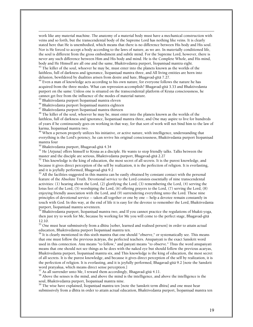work like any material machine. The anatomy of a material body must have a mechanical construction with veins and so forth, but the transcendental body of the Supreme Lord has nothing like veins. It is clearly stated here that He is unembodied, which means that there is no difference between His body and His soul. Nor is He forced to accept a body according to the laws of nature, as we are. In materially conditioned life, the soul is different from the gross embodiment and subtle mind. For the Supreme Lord, however, there is never any such difference between Him and His body and mind. He is the Complete Whole, and His mind, body and He Himself are all one and the same, Bhaktivedanta purport, Isopanisad mantra eight.<br><sup>43</sup> The killer of the soul, whoever he may be, must enter into the planets known as the worlds of the

faithless, full of darkness and ignorance, Isopanisad mantra three, and All living entities are born into delusion, bewildered by dualities arisen from desire and hate, Bhagavad-gītā 7.27.

<sup>44</sup> Even a man of knowledge acts according to his own nature, for everyone follows the nature he has acquired from the three modes. What can repression accomplish? Bhagavad-gītā 3.33 and Bhaktivedanta purport on the same: Unless one is situated on the transcendental platform of Krsna consciousness, he cannot get free from the influence of the modes of material nature.

 $^{45}$  Bhaktivedanta purport Īśopaniṣad mantra eleven

 $\overline{a}$ 

<sup>46</sup> Bhaktivedanta purport Isopanisad mantra eighteen

<sup>47</sup> Bhaktivedanta purport Isopanisad mantra thirteen

<sup>48</sup> The killer of the soul, whoever he may be, must enter into the planets known as the worlds of the faithless, full of darkness and ignorance, Isopanisad mantra three, and One may aspire to live for hundreds of years if he continuously goes on working in that way, for that sort of work will not bind him to the law of karma, Isopanisad mantra two.

 $49$  When a person properly utilizes his initiative, or active nature, with intelligence, understanding that everything is the Lord's potency, he can revive his original consciousness, Bhaktivedanta purport Isopanisad mantra four

<sup>50</sup> Bhaktivedanta purport, Bhagavad-gītā 4.34

 $51$  He [Arjuna] offers himself to Krsna as a disciple. He wants to stop friendly talks. Talks between the master and the disciple are serious, Bhaktivedanta purport, Bhagavad-gītā 2.27

 $52$  This knowledge is the king of education, the most secret of all secrets. It is the purest knowledge, and because it gives direct perception of the self by realization, it is the perfection of religion. It is everlasting, and it is joyfully performed, Bhagavad-gītā 9.2

 $53$  All the facilities suggested in this mantra can be easily obtained by constant contact with the personal feature of the Absolute Truth. Devotional service to the Lord consists essentially of nine transcendental activities: (1) hearing about the Lord, (2) glorifying the Lord, (3) remembering the Lord, (4) serving the lotus feet of the Lord, (5) worshiping the Lord, (6) offering prayers to the Lord, (7) serving the Lord, (8) enjoying friendly association with the Lord, and (9) surrendering everything unto the Lord. These nine principles of devotional service -- taken all together or one by one -- help a devotee remain constantly in touch with God. In this way, at the end of life it is easy for the devotee to remember the Lord, Bhaktivedanta purport, Isopanisad mantra seventeen.

Bhaktivedanta purport, Isopanisad mantra two, and If you cannot practice the regulations of bhakti-yoga, then just try to work for Me, because by working for Me you will come to the perfect stage, Bhagavad-gétä 12.10.

 $55$  One must hear submissively from a dhīra [sober, learned and realised person] in order to attain actual education, Bhaktivedanta purport Īsopanisad mantra ten.

 $56$  It is clearly mentioned in this sixth mantra that one should "observe," or systematically see. This means that one must follow the previous äcäryas, the perfected teachers. Anupaçyati is the exact Sanskrit word used in this connection. Anu means "to follow," and paçyati means "to observe." Thus the word anupaçyati means that one should not see things as he does with the naked eye but should follow the previous acaryas, Bhaktivedanta purport, Īśopaniṣad mantra six, and This knowledge is the king of education, the most secret of all secrets. It is the purest knowledge, and because it gives direct perception of the self by realization, it is the perfection of religion. It is everlasting, and it is joyfully performed, Bhagavad-gétä 9.2 [note the Sanskrit word pratyaksa, which means direct sense perception.]

 $\frac{57}{1}$  As all surrender unto Me, I reward them accordingly, Bhagavad-gitā 4.11.

<sup>58</sup> Above the senses is the mind, and above the mind is the intelligence, and above the intelligence is the soul, Bhaktivedanta purport, Isopanisad mantra nine.

 $^{59}$  The wise have explained, Isopanisad mantra ten [note the Sanskrit term dhira] and one must hear submissively from a dhīra in order to attain actual education, Bhaktivedanta purport, Īśopanisad mantra ten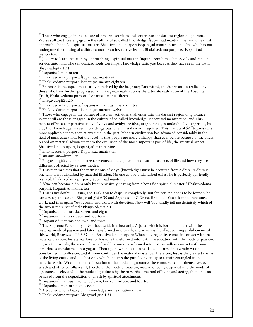$^{60}$  Those who engage in the culture of nescient activities shall enter into the darkest region of ignorance. Worse still are those engaged in the culture of so-called knowledge, Isopanisad mantra nine, and One must approach a bona fide spiritual master, Bhaktivedanta purport Isopanisad mantra nine, and One who has not undergone the training of a dhīra cannot be an instructive leader, Bhaktivedanta purports, Īśopanisad mantra ten.

 $^{61}$  Just try to learn the truth by approaching a spiritual master. Inquire from him submissively and render service unto him. The self-realized souls can impart knowledge unto you because they have seen the truth, Bhagavad-gītā 4.34.

 $62$   $\bar{1}$  sopanisad mantra ten

 $\overline{a}$ 

 $^{63}$  Bhaktivedanta purport, Isopanisad mantra six

<sup>64</sup> Bhaktivedanta purport, Isopanisad mantra eighteen

65 Brahman is the aspect most easily perceived by the beginner; Paramätmä, the Supersoul, is realized by those who have further progressed; and Bhagavän realization is the ultimate realization of the Absolute Truth, Bhaktivedanta purport, Isopanisad manta fifteen

<sup>66</sup> Bhagavad-gītā 12.5

 $67$  Bhaktivedanta purports, Isopanisad mantras nine and fifteen

<sup>68</sup> Bhaktivedanta purport, Isopanisad mantra twelve

 $<sup>69</sup>$  Those who engage in the culture of nescient activities shall enter into the darkest region of ignorance.</sup> Worse still are those engaged in the culture of so-called knowledge, Isopanisad mantra nine, and This mantra offers a comparative study of vidyä and avidyä. Avidyä, or ignorance, is undoubtedly dangerous, but vidyā, or knowledge, is even more dangerous when mistaken or misguided. This mantra of Śrī Īšopanisad is more applicable today than at any time in the past. Modern civilization has advanced considerably in the field of mass education, but the result is that people are more unhappy than ever before because of the stress placed on material advancement to the exclusion of the most important part of life, the spiritual aspect, Bhaktivedanta purport, Isopanisad mantra nine.

<sup>70</sup> Bhaktivedanta purport, Isopanisad mantra ten

71 amänitvam—humility

 $72$  Bhagavad-gītā chapters fourteen, seventeen and eighteen detail various aspects of life and how they are differently affected by various modes.

 $^{73}$  This mantra states that the instructions of vidyā (knowledge) must be acquired from a dhīra. A dhīra is one who is not disturbed by material illusion. No one can be undisturbed unless he is perfectly spiritually realized, Bhaktivedanta purport, Īśopaniṣad mantra ten

 $^{74}$  "One can become a dhira only by submissively hearing from a bona fide spiritual master." Bhaktivedanta purport, Isopanisad mantra ten

 $^{\tilde{7}5}$  This is my doubt, O Krsna, and I ask You to dispel it completely. But for You, no one is to be found who can destroy this doubt, Bhagavad-gītā 6.39 and Arjuna said: O Krsņa, first of all You ask me to renounce work, and then again You recommend work with devotion. Now will You kindly tell me definitely which of the two is more beneficial? Bhagavad-gītā 5.1

 $76$  Isopanisad mantras six, seven, and eight

<sup>77</sup> Isopanisad mantas eleven and fourteen

 $^{78}$  Isopanisad mantras one, two, and three

 $^{79}$  The Supreme Personality of Godhead said: It is lust only, Arjuna, which is born of contact with the material mode of passion and later transformed into wrath, and which is the all-devouring sinful enemy of this world, Bhagavad-gétä 3.37, and Bhaktivedanta purport: When a living entity comes in contact with the material creation, his eternal love for Krsna is transformed into lust, in association with the mode of passion. Or, in other words, the sense of love of God becomes transformed into lust, as milk in contact with sour tamarind is transformed into yogurt. Then again, when lust is unsatisfied, it turns into wrath; wrath is transformed into illusion, and illusion continues the material existence. Therefore, lust is the greatest enemy of the living entity, and it is lust only which induces the pure living entity to remain entangled in the material world. Wrath is the manifestation of the mode of ignorance; these modes exhibit themselves as wrath and other corollaries. If, therefore, the mode of passion, instead of being degraded into the mode of ignorance, is elevated to the mode of goodness by the prescribed method of living and acting, then one can be saved from the degradation of wrath by spiritual attachment.

 $80$  Isopanisad mantras nine, ten, eleven, twelve, thirteen, and fourteen

<sup>81</sup> Isopanisad mantra six and seven

 $82$  A teacher who is heavy with knowledge and realization of truth

83 Bhaktivedanta purport, Bhagavad-gītā 4.34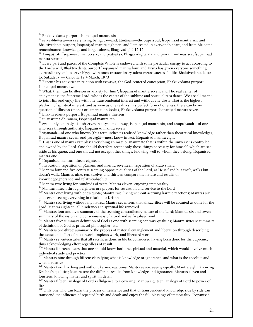$84$  Bhaktivedanta purport, Isopanisad mantra six

 $\overline{a}$ 

 $85$  sarva-bhūtesu—in every living being; ca—and; ātmānam—the Supersoul, Isopanisad mantra six, and Bhaktivedanta purport, Isopanisad mantra eighteen, and I am seated in everyone's heart, and from Me come remembrance, knowledge and forgetfulness, Bhagavad-gītā 15.15

 $^{86}$  Anupaśyati, Īśopanisad mantra six, and pratyaksa, Bhagavad-gītā 9.2 and paśyāmi—I may see, Īśopanisad mantra sixteen,

 $87$  Every part and parcel of the Complete Whole is endowed with some particular energy to act according to the Lord's will, Bhaktivedanta purport Isopanisad mantra four, and Krsna has given everyone something extraordinary and to serve Krsna with one's extraordinary talent means successful life, Bhaktivedanta letter to: Sukadeva — Calcutta 17 4 March, 1973

 $^{88}$  Execute his activities in relation with īśāvāsya, the God-centered conception, Bhaktivedanta purport, Īśopanisad mantra two.

 $89\,$  What, then, can be illusion or anxiety for him?, Isopanisad mantra seven, and The real center of enjoyment is the Supreme Lord, who is the center of the sublime and spiritual räsa dance. We are all meant to join Him and enjoy life with one transcendental interest and without any clash. That is the highest platform of spiritual interest, and as soon as one realizes this perfect form of oneness, there can be no question of illusion (moha) or lamentation (śoka), Bhaktivedanta purport Iśopanisad mantra seven.  $^{\rm 0}$  Bhaktivedanta purport, Īśopanisad mantra thirteen  $^{\rm 0}$ 

 $^{91}$  iti śuśruma dhīrānām, Īśopanisad mantra ten

 $^{92}$  eva—only; anupasvati—observes in a systematic way, Isopanisad mantra six, and anupasvatah—of one who sees through authority, Isopanisad mantra seven

<sup>93</sup> vijānataḥ—of one who knows (this term indicates realised knowledge rather than theoretical knowledge),<br>Īšopanisad mantra seven, and parvagāt—must know in fact, Īšopanisad mantra eight

 $<sup>94</sup>$  This is one of many examples: Everything animate or inanimate that is within the universe is controlled</sup> and owned by the Lord. One should therefore accept only those things necessary for himself, which are set aside as his quota, and one should not accept other things, knowing well to whom they belong, Isopanisad mantra one

 $\frac{95}{2}$  Isopanisad mantras fifteen-eighteen<br> $\frac{96}{2}$  Invocation: repetition of pūrṇam, and mantra seventeen: repetition of krato smara

 $^{97}$  Mantra four and five contrast seeming opposite qualities of the Lord, as He is fixed but swift, walks but doesn't walk; Mantras nine, ten, twelve, and thirteen compare the nature and results of

knowledge/ignorance and relative/absolute<br><sup>98</sup> Mantra two: living for hundreds of years; Mantra eleven: enjoying immortality

<sup>99</sup> Mantras fifteen through eighteen are prayers for revelation and service to the Lord<br><sup>100</sup> Mantra one: living with one's quota; Mantra two: living without accruing karmic reactions; Mantras six<br>and seven: seeing every

<sup>101</sup> Mantra six: living without any hatred; Mantra seventeen: that all sacrifices will be counted as done for the Lord; Mantra eighteen: all hindrances to spiritual life removed

 $102$  Mantras four and five: summary of the seeming contradictory nature of the Lord; Mantras six and seven:<br>summary of the vision and consciousness of a God and self-realised soul

 $103$  Mantra five: summary definition of God as one with seeming contrary qualities; Mantra sixteen: summary of definition of God as primeval philosopher, etc.

 $104$  Mantras one-three: summarize the process of material entanglement and liberation through describing the cause and effect of pious work, impious work, and liberated work

 $105$  Mantra seventeen asks that all sacrifices done in life be considered having been done for the Supreme, thus acknowledging effort regardless of result

<sup>106</sup> Mantra fourteen states that one should know both the spiritual and material, which would involve much individual study and practice

<sup>107</sup> Mantras nine through fifteen: classifying what is knowledge or ignorance, and what is the absolute and what is relative

<sup>108</sup> Mantra two: live long and without karmic reactions; Mantra seven: seeing equally; Mantra eight: knowing Krishna's qualities; Mantra ten: the different results from knowledge and ignorance; Mantras eleven and fourteen: knowing matter and spirit, in detail

109 Mantra fifteen: analogy of Lord's effulgence to a covering; Mantra eighteen: analogy of Lord to power of fire

 $\frac{110}{110}$  Only one who can learn the process of nescience and that of transcendental knowledge side by side can transcend the influence of repeated birth and death and enjoy the full blessings of immortality, Isopanisad